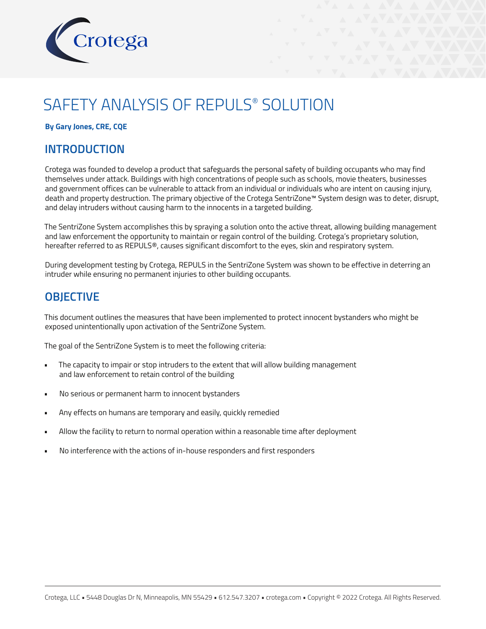

# SAFETY ANALYSIS OF REPULS® SOLUTION

### **By Gary Jones, CRE, CQE**

# **INTRODUCTION**

Crotega was founded to develop a product that safeguards the personal safety of building occupants who may find themselves under attack. Buildings with high concentrations of people such as schools, movie theaters, businesses and government offices can be vulnerable to attack from an individual or individuals who are intent on causing injury, death and property destruction. The primary objective of the Crotega SentriZone™ System design was to deter, disrupt, and delay intruders without causing harm to the innocents in a targeted building.

The SentriZone System accomplishes this by spraying a solution onto the active threat, allowing building management and law enforcement the opportunity to maintain or regain control of the building. Crotega's proprietary solution, hereafter referred to as REPULS®, causes significant discomfort to the eyes, skin and respiratory system.

During development testing by Crotega, REPULS in the SentriZone System was shown to be effective in deterring an intruder while ensuring no permanent injuries to other building occupants.

# **OBJECTIVE**

This document outlines the measures that have been implemented to protect innocent bystanders who might be exposed unintentionally upon activation of the SentriZone System.

The goal of the SentriZone System is to meet the following criteria:

- The capacity to impair or stop intruders to the extent that will allow building management and law enforcement to retain control of the building
- No serious or permanent harm to innocent bystanders
- Any effects on humans are temporary and easily, quickly remedied
- Allow the facility to return to normal operation within a reasonable time after deployment
- No interference with the actions of in-house responders and first responders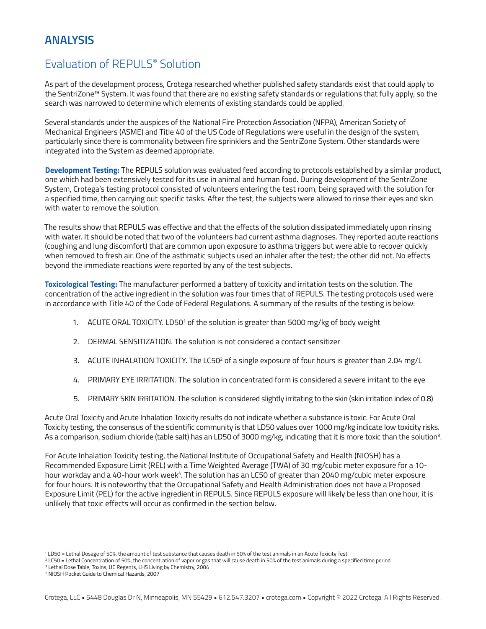# Evaluation of REPULS® Solution

As part of the development process, Crotega researched whether published safety standards exist that could apply to the SentriZone™ System. It was found that there are no existing safety standards or regulations that fully apply, so the search was narrowed to determine which elements of existing standards could be applied.

Several standards under the auspices of the National Fire Protection Association (NFPA), American Society of Mechanical Engineers (ASME) and Title 40 of the US Code of Regulations were useful in the design of the system, particularly since there is commonality between fire sprinklers and the SentriZone System. Other standards were integrated into the System as deemed appropriate.

**Development Testing:** The REPULS solution was evaluated feed according to protocols established by a similar product, one which had been extensively tested for its use in animal and human food. During development of the SentriZone System, Crotega's testing protocol consisted of volunteers entering the test room, being sprayed with the solution for a specified time, then carrying out specific tasks. After the test, the subjects were allowed to rinse their eyes and skin with water to remove the solution.

The results show that REPULS was effective and that the effects of the solution dissipated immediately upon rinsing with water. It should be noted that two of the volunteers had current asthma diagnoses. They reported acute reactions (coughing and lung discomfort) that are common upon exposure to asthma triggers but were able to recover quickly when removed to fresh air. One of the asthmatic subjects used an inhaler after the test; the other did not. No effects beyond the immediate reactions were reported by any of the test subjects.

**Toxicological Testing:** The manufacturer performed a battery of toxicity and irritation tests on the solution. The concentration of the active ingredient in the solution was four times that of REPULS. The testing protocols used were in accordance with Title 40 of the Code of Federal Regulations. A summary of the results of the testing is below:

- 1. ACUTE ORAL TOXICITY. LD50<sup>1</sup> of the solution is greater than 5000 mg/kg of body weight
- 2. DERMAL SENSITIZATION. The solution is not considered a contact sensitizer
- 3. ACUTE INHALATION TOXICITY. The LC50<sup>2</sup> of a single exposure of four hours is greater than 2.04 mg/L
- 4. PRIMARY EYE IRRITATION. The solution in concentrated form is considered a severe irritant to the eye
- 5. PRIMARY SKIN IRRITATION. The solution is considered slightly irritating to the skin (skin irritation index of 0.8)

Acute Oral Toxicity and Acute Inhalation Toxicity results do not indicate whether a substance is toxic. For Acute Oral Toxicity testing, the consensus of the scientific community is that LD50 values over 1000 mg/kg indicate low toxicity risks. As a comparison, sodium chloride (table salt) has an LD50 of 3000 mg/kg, indicating that it is more toxic than the solution $^{\text{3}}$ .

For Acute Inhalation Toxicity testing, the National Institute of Occupational Safety and Health (NIOSH) has a Recommended Exposure Limit (REL) with a Time Weighted Average (TWA) of 30 mg/cubic meter exposure for a 10 hour workday and a 40-hour work week<sup>4</sup>. The solution has an LC50 of greater than 2040 mg/cubic meter exposure for four hours. It is noteworthy that the Occupational Safety and Health Administration does not have a Proposed Exposure Limit (PEL) for the active ingredient in REPULS. Since REPULS exposure will likely be less than one hour, it is unlikely that toxic effects will occur as confirmed in the section below.

<sup>1</sup> LD50 = Lethal Dosage of 50%, the amount of test substance that causes death in 50% of the test animals in an Acute Toxicity Test

<sup>2</sup> LC50 = Lethal Concentration of 50%, the concentration of vapor or gas that will cause death in 50% of the test animals during a specified time period

<sup>&</sup>lt;sup>3</sup> Lethal Dose Table, Toxins, UC Regents, LHS Living by Chemistry, 2004

<sup>4</sup> NIOSH Pocket Guide to Chemical Hazards, 2007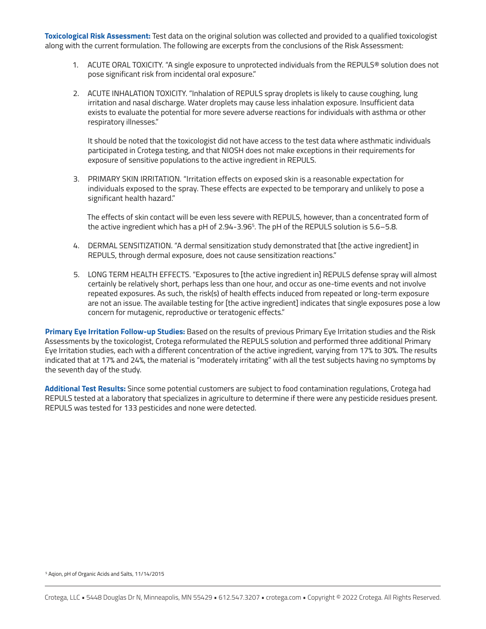**Toxicological Risk Assessment:** Test data on the original solution was collected and provided to a qualified toxicologist along with the current formulation. The following are excerpts from the conclusions of the Risk Assessment:

- 1. ACUTE ORAL TOXICITY. "A single exposure to unprotected individuals from the REPULS® solution does not pose significant risk from incidental oral exposure."
- 2. ACUTE INHALATION TOXICITY. "Inhalation of REPULS spray droplets is likely to cause coughing, lung irritation and nasal discharge. Water droplets may cause less inhalation exposure. Insufficient data exists to evaluate the potential for more severe adverse reactions for individuals with asthma or other respiratory illnesses."

It should be noted that the toxicologist did not have access to the test data where asthmatic individuals participated in Crotega testing, and that NIOSH does not make exceptions in their requirements for exposure of sensitive populations to the active ingredient in REPULS.

3. PRIMARY SKIN IRRITATION. "Irritation effects on exposed skin is a reasonable expectation for individuals exposed to the spray. These effects are expected to be temporary and unlikely to pose a significant health hazard."

The effects of skin contact will be even less severe with REPULS, however, than a concentrated form of the active ingredient which has a pH of 2.94-3.965 . The pH of the REPULS solution is 5.6–5.8.

- 4. DERMAL SENSITIZATION. "A dermal sensitization study demonstrated that [the active ingredient] in REPULS, through dermal exposure, does not cause sensitization reactions."
- 5. LONG TERM HEALTH EFFECTS. "Exposures to [the active ingredient in] REPULS defense spray will almost certainly be relatively short, perhaps less than one hour, and occur as one-time events and not involve repeated exposures. As such, the risk(s) of health effects induced from repeated or long-term exposure are not an issue. The available testing for [the active ingredient] indicates that single exposures pose a low concern for mutagenic, reproductive or teratogenic effects."

**Primary Eye Irritation Follow-up Studies:** Based on the results of previous Primary Eye Irritation studies and the Risk Assessments by the toxicologist, Crotega reformulated the REPULS solution and performed three additional Primary Eye Irritation studies, each with a different concentration of the active ingredient, varying from 17% to 30%. The results indicated that at 17% and 24%, the material is "moderately irritating" with all the test subjects having no symptoms by the seventh day of the study.

**Additional Test Results:** Since some potential customers are subject to food contamination regulations, Crotega had REPULS tested at a laboratory that specializes in agriculture to determine if there were any pesticide residues present. REPULS was tested for 133 pesticides and none were detected.